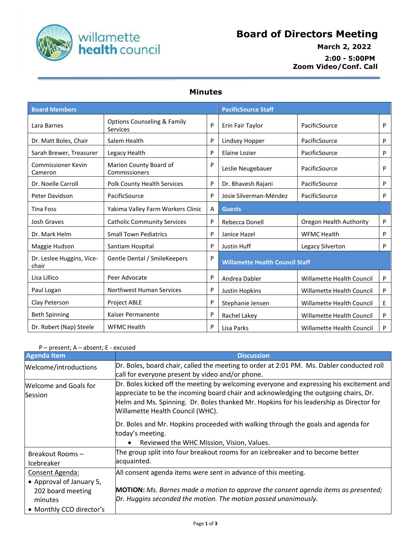

## **Board of Directors Meeting**

## **March 2, 2022 2:00 - 5:00PM Zoom Video/Conf. Call**

## **Minutes**

| <b>Board Members</b>                 |                                                           |   | <b>PacificSource Staff</b>             |                           |   |
|--------------------------------------|-----------------------------------------------------------|---|----------------------------------------|---------------------------|---|
| Lara Barnes                          | <b>Options Counseling &amp; Family</b><br><b>Services</b> | P | Erin Fair Taylor                       | PacificSource             | P |
| Dr. Matt Boles, Chair                | Salem Health                                              | P | Lindsey Hopper                         | PacificSource             | P |
| Sarah Brewer, Treasurer              | Legacy Health                                             | P | Elaine Lozier                          | PacificSource             | P |
| <b>Commissioner Kevin</b><br>Cameron | Marion County Board of<br>Commissioners                   | P | Leslie Neugebauer                      | PacificSource             | P |
| Dr. Noelle Carroll                   | <b>Polk County Health Services</b>                        | P | Dr. Bhavesh Rajani                     | PacificSource             | P |
| Peter Davidson                       | PacificSource                                             | P | Josie Silverman-Méndez                 | PacificSource             | P |
| Tina Foss                            | Yakima Valley Farm Workers Clinic                         | A | <b>Guests</b>                          |                           |   |
| <b>Josh Graves</b>                   | <b>Catholic Community Services</b>                        | P | Rebecca Donell                         | Oregon Health Authority   | P |
| Dr. Mark Helm                        | <b>Small Town Pediatrics</b>                              | P | Janice Hazel                           | <b>WFMC Health</b>        | P |
| Maggie Hudson                        | Santiam Hospital                                          | P | Justin Huff                            | Legacy Silverton          | P |
| Dr. Leslee Huggins, Vice-<br>chair   | Gentle Dental / SmileKeepers                              | P | <b>Willamette Health Council Staff</b> |                           |   |
| Lisa Lillico                         | Peer Advocate                                             | P | Andrea Dabler                          | Willamette Health Council | P |
| Paul Logan                           | <b>Northwest Human Services</b>                           | P | <b>Justin Hopkins</b>                  | Willamette Health Council | P |
| Clay Peterson                        | <b>Project ABLE</b>                                       | P | Stephanie Jensen                       | Willamette Health Council | E |
| <b>Beth Spinning</b>                 | Kaiser Permanente                                         | P | Rachel Lakey                           | Willamette Health Council | P |
| Dr. Robert (Nap) Steele              | <b>WFMC Health</b>                                        | P | Lisa Parks                             | Willamette Health Council | P |

## P – present; A – absent; E - excused

| <b>Agenda Item</b>                                                                                      | <b>Discussion</b>                                                                                                                                                                                                                                                                                               |
|---------------------------------------------------------------------------------------------------------|-----------------------------------------------------------------------------------------------------------------------------------------------------------------------------------------------------------------------------------------------------------------------------------------------------------------|
| Welcome/introductions                                                                                   | Dr. Boles, board chair, called the meeting to order at 2:01 PM. Ms. Dabler conducted roll<br>call for everyone present by video and/or phone.                                                                                                                                                                   |
| Welcome and Goals for<br>Session                                                                        | Dr. Boles kicked off the meeting by welcoming everyone and expressing his excitement and<br>appreciate to be the incoming board chair and acknowledging the outgoing chairs, Dr.<br>Helm and Ms. Spinning. Dr. Boles thanked Mr. Hopkins for his leadership as Director for<br>Willamette Health Council (WHC). |
|                                                                                                         | Dr. Boles and Mr. Hopkins proceeded with walking through the goals and agenda for<br>today's meeting.<br>Reviewed the WHC Mission, Vision, Values.<br>$\bullet$                                                                                                                                                 |
| Breakout Rooms-<br>Icebreaker                                                                           | The group split into four breakout rooms for an icebreaker and to become better<br>acquainted.                                                                                                                                                                                                                  |
| Consent Agenda:<br>• Approval of January 5,<br>202 board meeting<br>minutes<br>• Monthly CCO director's | All consent agenda items were sent in advance of this meeting.<br><b>MOTION:</b> Ms. Barnes made a motion to approve the consent agenda items as presented;<br>Dr. Huggins seconded the motion. The motion passed unanimously.                                                                                  |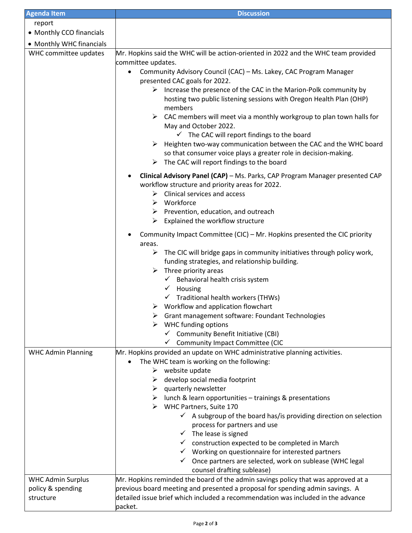| <b>Agenda Item</b>                                         | <b>Discussion</b>                                                                                                                                                                                                                                                                                                                                                                                                                                                                                                                                                                                                                                                                                                                                                                                                                                                                                                         |  |  |
|------------------------------------------------------------|---------------------------------------------------------------------------------------------------------------------------------------------------------------------------------------------------------------------------------------------------------------------------------------------------------------------------------------------------------------------------------------------------------------------------------------------------------------------------------------------------------------------------------------------------------------------------------------------------------------------------------------------------------------------------------------------------------------------------------------------------------------------------------------------------------------------------------------------------------------------------------------------------------------------------|--|--|
| report                                                     |                                                                                                                                                                                                                                                                                                                                                                                                                                                                                                                                                                                                                                                                                                                                                                                                                                                                                                                           |  |  |
| • Monthly CCO financials                                   |                                                                                                                                                                                                                                                                                                                                                                                                                                                                                                                                                                                                                                                                                                                                                                                                                                                                                                                           |  |  |
| • Monthly WHC financials                                   |                                                                                                                                                                                                                                                                                                                                                                                                                                                                                                                                                                                                                                                                                                                                                                                                                                                                                                                           |  |  |
| WHC committee updates                                      | Mr. Hopkins said the WHC will be action-oriented in 2022 and the WHC team provided<br>committee updates.<br>Community Advisory Council (CAC) - Ms. Lakey, CAC Program Manager<br>$\bullet$<br>presented CAC goals for 2022.<br>$\triangleright$ Increase the presence of the CAC in the Marion-Polk community by<br>hosting two public listening sessions with Oregon Health Plan (OHP)<br>members<br>CAC members will meet via a monthly workgroup to plan town halls for<br>$\blacktriangleright$<br>May and October 2022.<br>$\checkmark$ The CAC will report findings to the board<br>$\triangleright$ Heighten two-way communication between the CAC and the WHC board<br>so that consumer voice plays a greater role in decision-making.<br>The CAC will report findings to the board<br>➤                                                                                                                          |  |  |
|                                                            | Clinical Advisory Panel (CAP) - Ms. Parks, CAP Program Manager presented CAP<br>٠<br>workflow structure and priority areas for 2022.<br>Clinical services and access<br>➤<br>$\triangleright$ Workforce<br>$\triangleright$ Prevention, education, and outreach<br>$\triangleright$ Explained the workflow structure<br>Community Impact Committee (CIC) – Mr. Hopkins presented the CIC priority<br>$\bullet$<br>areas.<br>The CIC will bridge gaps in community initiatives through policy work,<br>➤<br>funding strategies, and relationship building.<br>Three priority areas<br>➤<br>$\checkmark$ Behavioral health crisis system<br>Housing<br>$\checkmark$<br>Traditional health workers (THWs)<br>✓<br>Workflow and application flowchart<br>➤<br>Grant management software: Foundant Technologies<br>WHC funding options<br>$\checkmark$ Community Benefit Initiative (CBI)<br>← Community Impact Committee (CIC |  |  |
| <b>WHC Admin Planning</b>                                  | Mr. Hopkins provided an update on WHC administrative planning activities.<br>The WHC team is working on the following:<br>$\bullet$<br>$\triangleright$ website update<br>develop social media footprint<br>➤<br>quarterly newsletter<br>➤<br>lunch & learn opportunities - trainings & presentations<br>➤<br>$\triangleright$ WHC Partners, Suite 170<br>$\checkmark$ A subgroup of the board has/is providing direction on selection<br>process for partners and use<br>$\checkmark$ The lease is signed<br>$\checkmark$ construction expected to be completed in March<br>$\checkmark$ Working on questionnaire for interested partners<br>$\checkmark$ Once partners are selected, work on sublease (WHC legal<br>counsel drafting sublease)                                                                                                                                                                          |  |  |
| <b>WHC Admin Surplus</b><br>policy & spending<br>structure | Mr. Hopkins reminded the board of the admin savings policy that was approved at a<br>previous board meeting and presented a proposal for spending admin savings. A<br>detailed issue brief which included a recommendation was included in the advance<br>packet.                                                                                                                                                                                                                                                                                                                                                                                                                                                                                                                                                                                                                                                         |  |  |